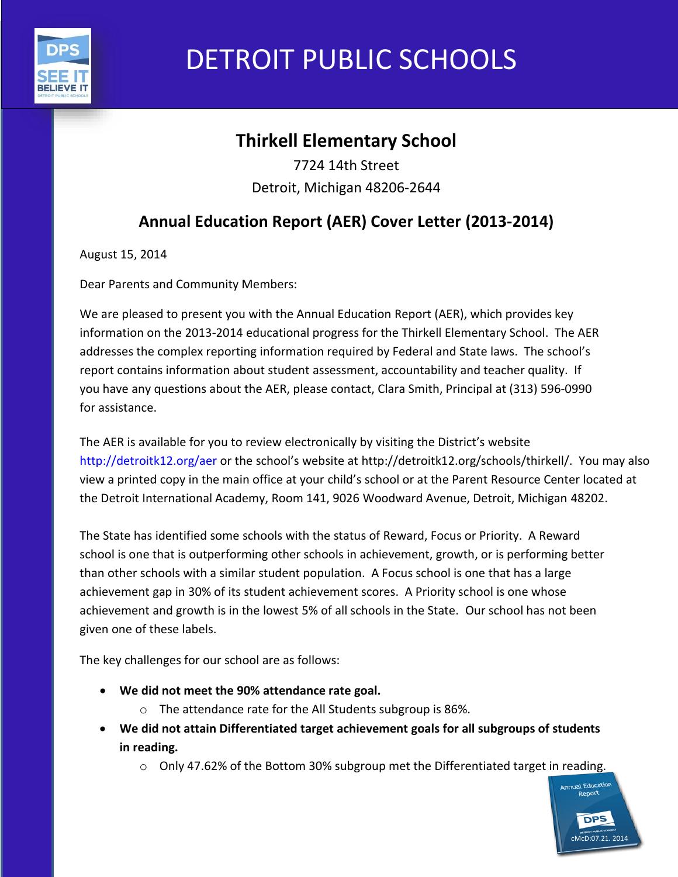

# DETROIT PUBLIC SCHOOLS

## **Thirkell Elementary School**

7724 14th Street Detroit, Michigan 48206-2644

## **Annual Education Report (AER) Cover Letter (2013-2014)**

August 15, 2014

Dear Parents and Community Members:

We are pleased to present you with the Annual Education Report (AER), which provides key information on the 2013-2014 educational progress for the Thirkell Elementary School. The AER addresses the complex reporting information required by Federal and State laws. The school's report contains information about student assessment, accountability and teacher quality. If you have any questions about the AER, please contact, Clara Smith, Principal at (313) 596-0990 for assistance.

The AER is available for you to review electronically by visiting the District's website http://detroitk12.org/aer or the school's website at http://detroitk12.org/schools/thirkell/. You may also view a printed copy in the main office at your child's school or at the Parent Resource Center located at the Detroit International Academy, Room 141, 9026 Woodward Avenue, Detroit, Michigan 48202.

The State has identified some schools with the status of Reward, Focus or Priority. A Reward school is one that is outperforming other schools in achievement, growth, or is performing better than other schools with a similar student population. A Focus school is one that has a large achievement gap in 30% of its student achievement scores. A Priority school is one whose achievement and growth is in the lowest 5% of all schools in the State. Our school has not been given one of these labels.

The key challenges for our school are as follows:

- **We did not meet the 90% attendance rate goal.**
	- o The attendance rate for the All Students subgroup is 86%.
- **We did not attain Differentiated target achievement goals for all subgroups of students in reading.**
	- $\circ$  Only 47.62% of the Bottom 30% subgroup met the Differentiated target in reading.

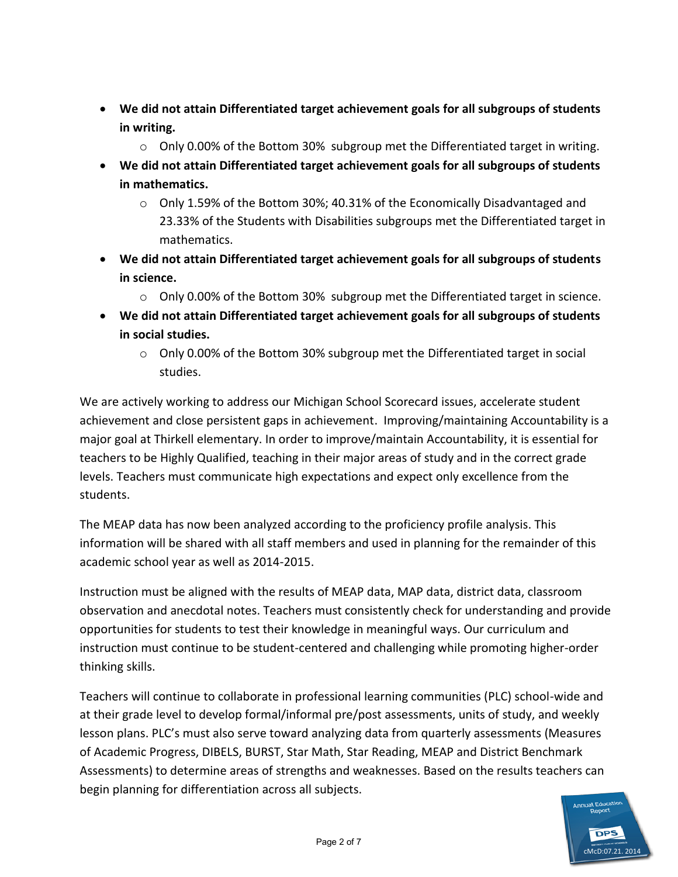- **We did not attain Differentiated target achievement goals for all subgroups of students in writing.** 
	- $\circ$  Only 0.00% of the Bottom 30% subgroup met the Differentiated target in writing.
- **We did not attain Differentiated target achievement goals for all subgroups of students in mathematics.** 
	- $\circ$  Only 1.59% of the Bottom 30%; 40.31% of the Economically Disadvantaged and 23.33% of the Students with Disabilities subgroups met the Differentiated target in mathematics.
- **We did not attain Differentiated target achievement goals for all subgroups of students in science.** 
	- $\circ$  Only 0.00% of the Bottom 30% subgroup met the Differentiated target in science.
- **We did not attain Differentiated target achievement goals for all subgroups of students in social studies.** 
	- $\circ$  Only 0.00% of the Bottom 30% subgroup met the Differentiated target in social studies.

We are actively working to address our Michigan School Scorecard issues, accelerate student achievement and close persistent gaps in achievement. Improving/maintaining Accountability is a major goal at Thirkell elementary. In order to improve/maintain Accountability, it is essential for teachers to be Highly Qualified, teaching in their major areas of study and in the correct grade levels. Teachers must communicate high expectations and expect only excellence from the students.

The MEAP data has now been analyzed according to the proficiency profile analysis. This information will be shared with all staff members and used in planning for the remainder of this academic school year as well as 2014-2015.

Instruction must be aligned with the results of MEAP data, MAP data, district data, classroom observation and anecdotal notes. Teachers must consistently check for understanding and provide opportunities for students to test their knowledge in meaningful ways. Our curriculum and instruction must continue to be student-centered and challenging while promoting higher-order thinking skills.

Teachers will continue to collaborate in professional learning communities (PLC) school-wide and at their grade level to develop formal/informal pre/post assessments, units of study, and weekly lesson plans. PLC's must also serve toward analyzing data from quarterly assessments (Measures of Academic Progress, DIBELS, BURST, Star Math, Star Reading, MEAP and District Benchmark Assessments) to determine areas of strengths and weaknesses. Based on the results teachers can begin planning for differentiation across all subjects.

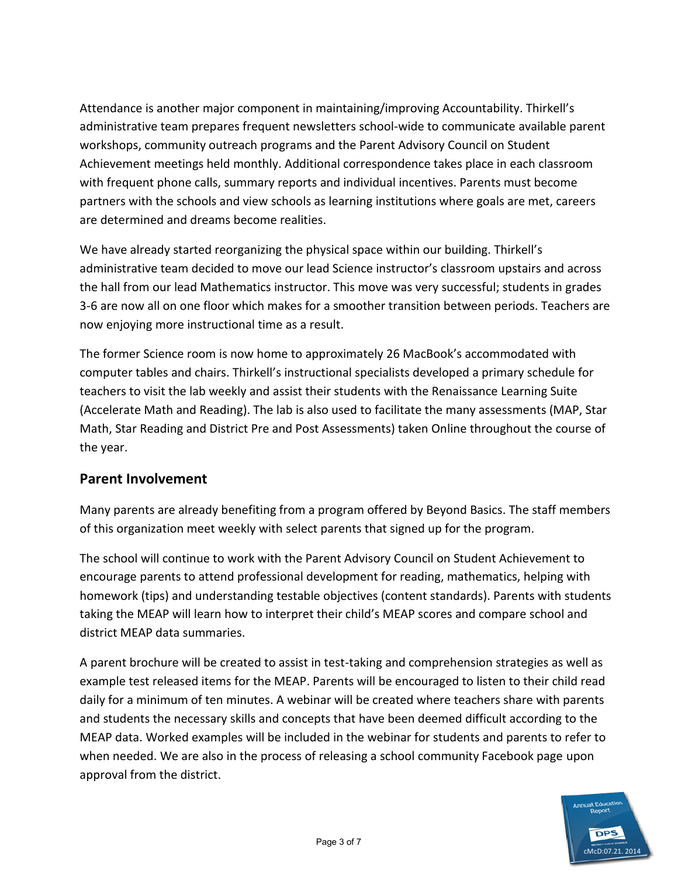Attendance is another major component in maintaining/improving Accountability. Thirkell's administrative team prepares frequent newsletters school-wide to communicate available parent workshops, community outreach programs and the Parent Advisory Council on Student Achievement meetings held monthly. Additional correspondence takes place in each classroom with frequent phone calls, summary reports and individual incentives. Parents must become partners with the schools and view schools as learning institutions where goals are met, careers are determined and dreams become realities.

We have already started reorganizing the physical space within our building. Thirkell's administrative team decided to move our lead Science instructor's classroom upstairs and across the hall from our lead Mathematics instructor. This move was very successful; students in grades 3-6 are now all on one floor which makes for a smoother transition between periods. Teachers are now enjoying more instructional time as a result.

The former Science room is now home to approximately 26 MacBook's accommodated with computer tables and chairs. Thirkell's instructional specialists developed a primary schedule for teachers to visit the lab weekly and assist their students with the Renaissance Learning Suite (Accelerate Math and Reading). The lab is also used to facilitate the many assessments (MAP, Star Math, Star Reading and District Pre and Post Assessments) taken Online throughout the course of the year.

## **Parent Involvement**

Many parents are already benefiting from a program offered by Beyond Basics. The staff members of this organization meet weekly with select parents that signed up for the program.

The school will continue to work with the Parent Advisory Council on Student Achievement to encourage parents to attend professional development for reading, mathematics, helping with homework (tips) and understanding testable objectives (content standards). Parents with students taking the MEAP will learn how to interpret their child's MEAP scores and compare school and district MEAP data summaries.

A parent brochure will be created to assist in test-taking and comprehension strategies as well as example test released items for the MEAP. Parents will be encouraged to listen to their child read daily for a minimum of ten minutes. A webinar will be created where teachers share with parents and students the necessary skills and concepts that have been deemed difficult according to the MEAP data. Worked examples will be included in the webinar for students and parents to refer to when needed. We are also in the process of releasing a school community Facebook page upon approval from the district.

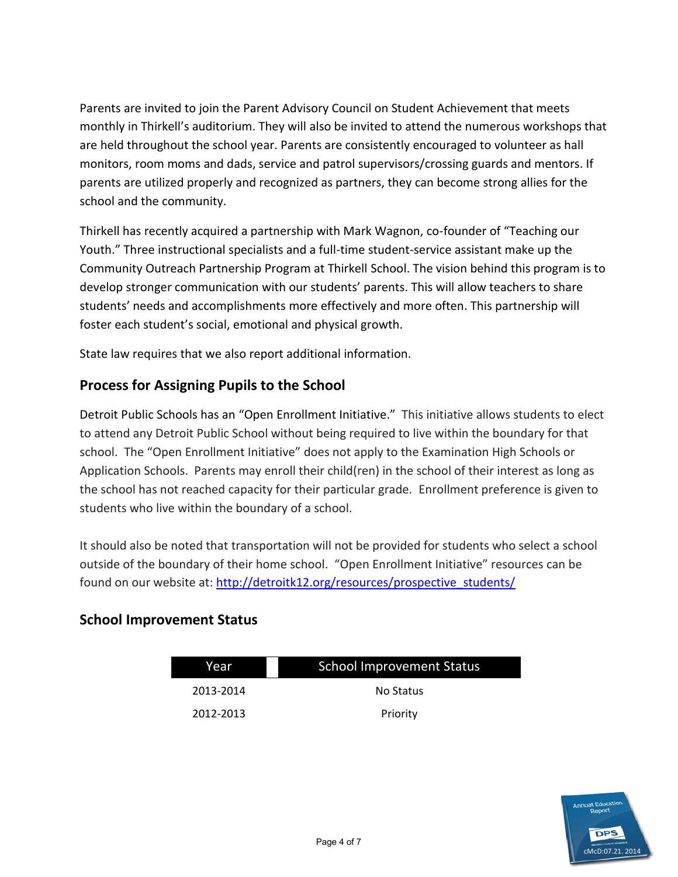Parents are invited to join the Parent Advisory Council on Student Achievement that meets monthly in Thirkell's auditorium. They will also be invited to attend the numerous workshops that are held throughout the school year. Parents are consistently encouraged to volunteer as hall monitors, room moms and dads, service and patrol supervisors/crossing guards and mentors. If parents are utilized properly and recognized as partners, they can become strong allies for the school and the community.

Thirkell has recently acquired a partnership with Mark Wagnon, co-founder of "Teaching our Youth." Three instructional specialists and a full-time student-service assistant make up the Community Outreach Partnership Program at Thirkell School. The vision behind this program is to develop stronger communication with our students' parents. This will allow teachers to share students' needs and accomplishments more effectively and more often. This partnership will foster each student's social, emotional and physical growth.

State law requires that we also report additional information.

## **Process for Assigning Pupils to the School**

Detroit Public Schools has an "Open Enrollment Initiative." This initiative allows students to elect to attend any Detroit Public School without being required to live within the boundary for that school. The "Open Enrollment Initiative" does not apply to the Examination High Schools or Application Schools. Parents may enroll their child(ren) in the school of their interest as long as the school has not reached capacity for their particular grade. Enrollment preference is given to students who live within the boundary of a school.

It should also be noted that transportation will not be provided for students who select a school outside of the boundary of their home school. "Open Enrollment Initiative" resources can be found on our website at: [http://detroitk12.org/resources/prospective\\_students/](http://detroitk12.org/resources/prospective_students/)

## **School Improvement Status**

| Year      | <b>School Improvement Status</b> |  |
|-----------|----------------------------------|--|
| 2013-2014 | No Status                        |  |
| 2012-2013 | Priority                         |  |

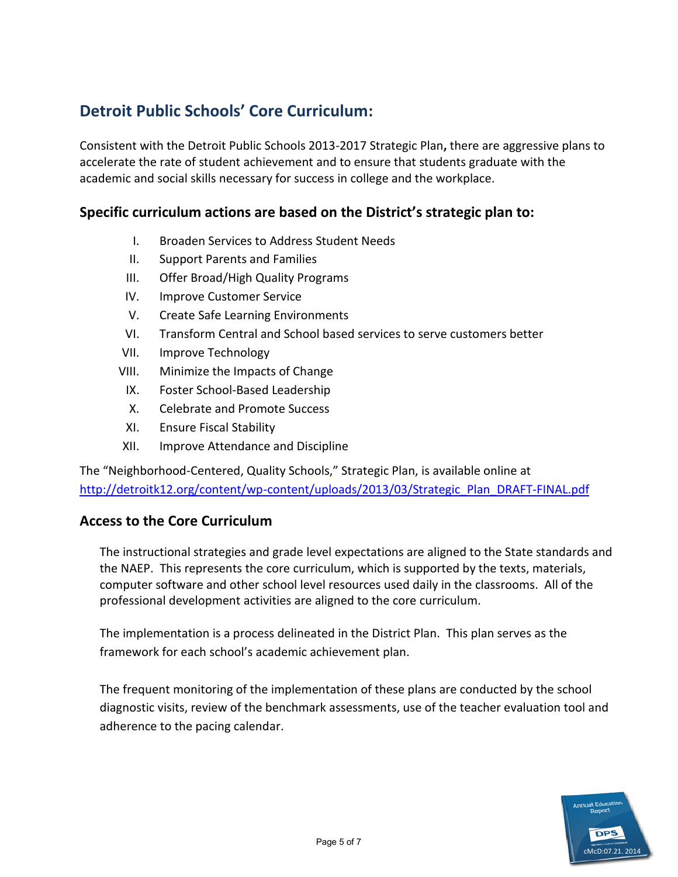## **Detroit Public Schools' Core Curriculum:**

Consistent with the Detroit Public Schools 2013-2017 Strategic Plan**,** there are aggressive plans to accelerate the rate of student achievement and to ensure that students graduate with the academic and social skills necessary for success in college and the workplace.

## **Specific curriculum actions are based on the District's strategic plan to:**

- I. Broaden Services to Address Student Needs
- II. Support Parents and Families
- III. Offer Broad/High Quality Programs
- IV. Improve Customer Service
- V. Create Safe Learning Environments
- VI. Transform Central and School based services to serve customers better
- VII. Improve Technology
- VIII. Minimize the Impacts of Change
	- IX. Foster School-Based Leadership
	- X. Celebrate and Promote Success
- XI. Ensure Fiscal Stability
- XII. Improve Attendance and Discipline

The "Neighborhood-Centered, Quality Schools," Strategic Plan, is available online at [http://detroitk12.org/content/wp-content/uploads/2013/03/Strategic\\_Plan\\_DRAFT-FINAL.pdf](http://detroitk12.org/content/wp-content/uploads/2013/03/Strategic_Plan_DRAFT-FINAL.pdf)

## **Access to the Core Curriculum**

The instructional strategies and grade level expectations are aligned to the State standards and the NAEP. This represents the core curriculum, which is supported by the texts, materials, computer software and other school level resources used daily in the classrooms. All of the professional development activities are aligned to the core curriculum.

The implementation is a process delineated in the District Plan. This plan serves as the framework for each school's academic achievement plan.

The frequent monitoring of the implementation of these plans are conducted by the school diagnostic visits, review of the benchmark assessments, use of the teacher evaluation tool and adherence to the pacing calendar.

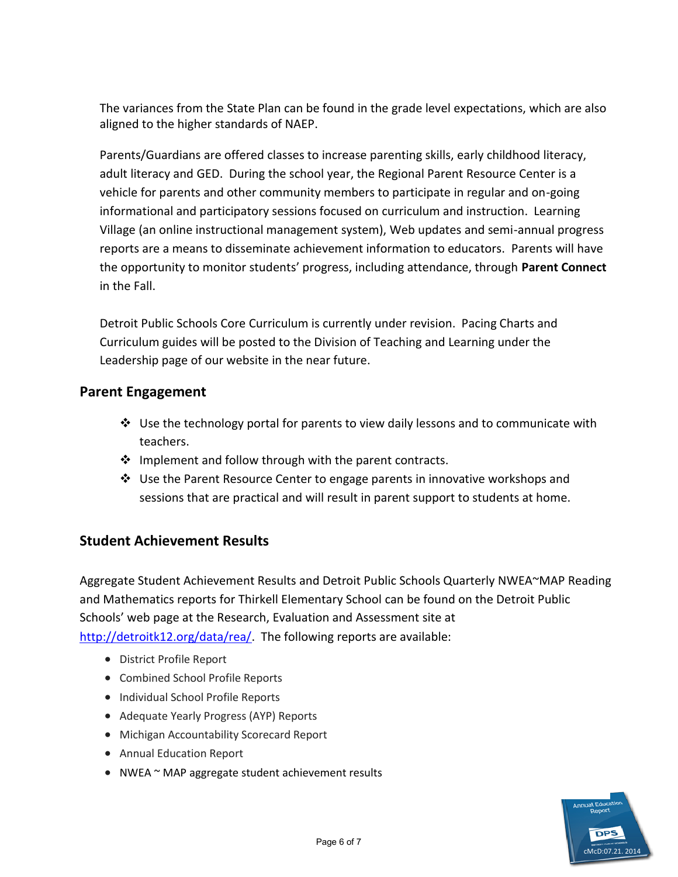The variances from the State Plan can be found in the grade level expectations, which are also aligned to the higher standards of NAEP.

Parents/Guardians are offered classes to increase parenting skills, early childhood literacy, adult literacy and GED. During the school year, the Regional Parent Resource Center is a vehicle for parents and other community members to participate in regular and on-going informational and participatory sessions focused on curriculum and instruction. Learning Village (an online instructional management system), Web updates and semi-annual progress reports are a means to disseminate achievement information to educators. Parents will have the opportunity to monitor students' progress, including attendance, through **Parent Connect**  in the Fall.

Detroit Public Schools Core Curriculum is currently under revision. Pacing Charts and Curriculum guides will be posted to the Division of Teaching and Learning under the Leadership page of our website in the near future.

#### **Parent Engagement**

- $\clubsuit$  Use the technology portal for parents to view daily lessons and to communicate with teachers.
- $\cdot$  Implement and follow through with the parent contracts.
- Use the Parent Resource Center to engage parents in innovative workshops and sessions that are practical and will result in parent support to students at home.

## **Student Achievement Results**

Aggregate Student Achievement Results and Detroit Public Schools Quarterly NWEA~MAP Reading and Mathematics reports for Thirkell Elementary School can be found on the Detroit Public Schools' web page at the Research, Evaluation and Assessment site at [http://detroitk12.org/data/rea/.](http://detroitk12.org/data/rea/) The following reports are available:

- District Profile Report
- Combined School Profile Reports
- Individual School Profile Reports
- Adequate Yearly Progress (AYP) Reports
- Michigan Accountability Scorecard Report
- Annual Education Report
- NWEA ~ MAP aggregate student achievement results